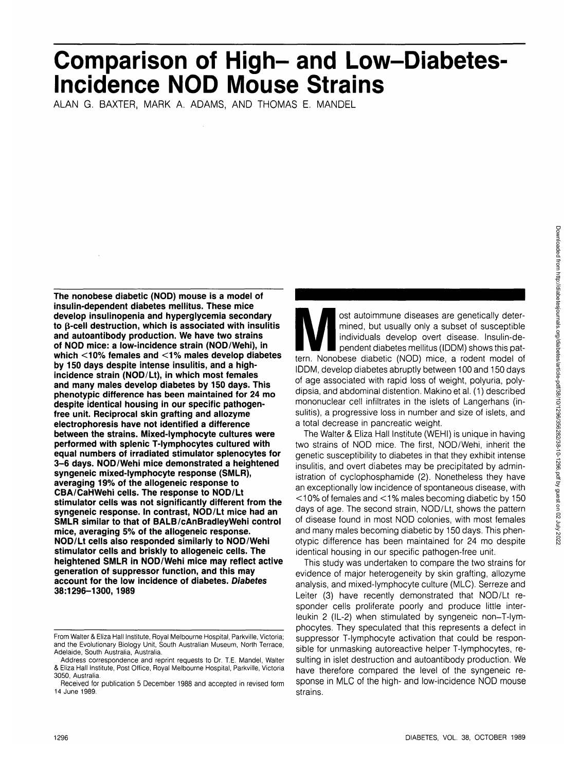# **Comparison of High- and Low-Diabetes Incidence NOD Mouse Strains**

ALAN G. BAXTER, MARK A. ADAMS, AND THOMAS E. MANDEL

**The nonobese diabetic (NOD) mouse is a model of insulin-dependent diabetes mellitus. These mice develop insulinopenia and hyperglycemia secondary to p-cell destruction, which is associated with insulitis and autoantibody production. We have two strains of NOD mice: a low-incidence strain (NOD/Wehi), in which <10% females and <1 % males develop diabetes by 150 days despite intense insulitis, and a highincidence strain (NOD/Lt), in which most females and many males develop diabetes by 150 days. This phenotypic difference has been maintained for 24 mo despite identical housing in our specific pathogenfree unit. Reciprocal skin grafting and allozyme electrophoresis have not identified a difference between the strains. Mixed-lymphocyte cultures were performed with splenic T-lymphocytes cultured with equal numbers of irradiated stimulator splenocytes for 3-6 days. NOD/Wehi mice demonstrated a heightened syngeneic mixed-lymphocyte response (SMLR), averaging 19% of the allogeneic response to CBA/CaHWehi cells. The response to NOD/Lt stimulator cells was not significantly different from the syngeneic response. In contrast, NOD/Lt mice had an SMLR similar to that of BALB/cAnBradleyWehi control mice, averaging 5% of the allogeneic response. NOD/Lt cells also responded similarly to NOD/Wehi stimulator cells and briskly to allogeneic cells. The heightened SMLR in NOD/Wehi mice may reflect active generation of suppressor function, and this may account for the low incidence of diabetes. Diabetes 38:1296-1300, 1989**

ost autoimmune diseases are genetically deter-<br>
mined, but usually only a subset of susceptible<br>
individuals develop overt disease. Insulin-de-<br>
pendent diabetes mellitus (IDDM) shows this pat-<br>
tern. Nonobese diabetic (NO mined, but usually only a subset of susceptible individuals develop overt disease. Insulin-dependent diabetes mellitus (IDDM) shows this pat-IDDM, develop diabetes abruptly between 100 and 150 days of age associated with rapid loss of weight, polyuria, polydipsia, and abdominal distention. Makino et al. (1) described mononuclear cell infiltrates in the islets of Langerhans (insulitis), a progressive loss in number and size of islets, and a total decrease in pancreatic weight.

The Walter & Eliza Hall Institute (WEHI) is unique in having two strains of NOD mice. The first, NOD/Wehi, inherit the genetic susceptibility to diabetes in that they exhibit intense insulitis, and overt diabetes may be precipitated by administration of cyclophosphamide (2). Nonetheless they have an exceptionally low incidence of spontaneous disease, with < 10% of females and <1 % males becoming diabetic by 150 days of age. The second strain, NOD/Lt, shows the pattern of disease found in most NOD colonies, with most females and many males becoming diabetic by 150 days. This phenotypic difference has been maintained for 24 mo despite identical housing in our specific pathogen-free unit.

This study was undertaken to compare the two strains for evidence of major heterogeneity by skin grafting, allozyme analysis, and mixed-lymphocyte culture (MLC). Serreze and Leiter (3) have recently demonstrated that NOD/Lt responder cells proliferate poorly and produce little interleukin 2 (IL-2) when stimulated by syngeneic non-T-lymphocytes. They speculated that this represents a defect in suppressor T-lymphocyte activation that could be responsible for unmasking autoreactive helper T-lymphocytes, resulting in islet destruction and autoantibody production. We have therefore compared the level of the syngeneic response in MLC of the high- and low-incidence NOD mouse strains.

From Walter & Eliza Hall Institute, Royal Melbourne Hospital, Parkville, Victoria; and the Evolutionary Biology Unit, South Australian Museum, North Terrace, Adelaide, South Australia, Australia.

Address correspondence and reprint requests to Dr. T.E. Mandel, Walter & Eliza Hall Institute, Post Office, Royal Melbourne Hospital, Parkville, Victoria 3050, Australia.

Received for publication 5 December 1988 and accepted in revised form 14 June 1989.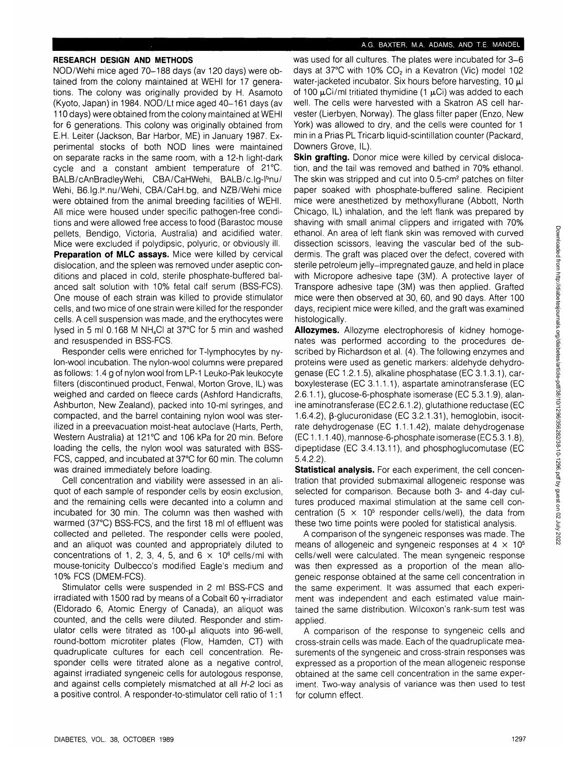# A.G. BAXTER, M.A. ADAMS, AND T.E. MANDEL

# **RESEARCH DESIGN AND METHODS**

NOD/Wehi mice aged 70-188 days (av 120 days) were obtained from the colony maintained at WEHI for 17 generations. The colony was originally provided by H. Asamoto (Kyoto, Japan) in 1984. NOD/Lt mice aged 40-161 days (av 110 days) were obtained from the colony maintained at WEHI for 6 generations. This colony was originally obtained from E.H. Leiter (Jackson, Bar Harbor, ME) in January 1987. Experimental stocks of both NOD lines were maintained on separate racks in the same room, with a 12-h light-dark cycle and a constant ambient temperature of 21°C. BALB/cAnBradleyWehi, CBA/CaHWehi, BALB/c.lg-Ibnu/ Wehi, B6.Ig.l<sup>e</sup>.nu/Wehi, CBA/CaH.bg, and NZB/Wehi mice were obtained from the animal breeding facilities of WEHI. All mice were housed under specific pathogen-free conditions and were allowed free access to food (Barastoc mouse pellets, Bendigo, Victoria, Australia) and acidified water. Mice were excluded if polydipsic, polyuric, or obviously ill. **Preparation of MLC assays.** Mice were killed by cervical dislocation, and the spleen was removed under aseptic conditions and placed in cold, sterile phosphate-buffered balanced salt solution with 10% fetal calf serum (BSS-FCS). One mouse of each strain was killed to provide stimulator cells, and two mice of one strain were killed for the responder cells. A cell suspension was made, and the erythocytes were lysed in 5 ml 0.168 M NH4CI at 37°C for 5 min and washed and resuspended in BSS-FCS.

Responder cells were enriched for T-lymphocytes by nylon-wool incubation. The nylon-wool columns were prepared as follows: 1.4 g of nylon wool from LP-1 Leuko-Pak leukocyte filters (discontinued product, Fenwal, Morton Grove, IL) was weighed and carded on fleece cards (Ashford Handicrafts, Ashburton, New Zealand), packed into 10-ml syringes, and compacted, and the barrel containing nylon wool was sterilized in a preevacuation moist-heat autoclave (Harts, Perth, Western Australia) at 121°C and 106 kPa for 20 min. Before loading the cells, the nylon wool was saturated with BSS-FCS, capped, and incubated at 37°C for 60 min. The column was drained immediately before loading.

Cell concentration and viability were assessed in an aliquot of each sample of responder cells by eosin exclusion, and the remaining cells were decanted into a column and incubated for 30 min. The column was then washed with warmed (37°C) BSS-FCS, and the first 18 ml of effluent was collected and pelleted. The responder cells were pooled, and an aliquot was counted and appropriately diluted to concentrations of 1, 2, 3, 4, 5, and  $6 \times 10^6$  cells/ml with mouse-tonicity Dulbecco's modified Eagle's medium and 10% FCS (DMEM-FCS).

Stimulator cells were suspended in 2 ml BSS-FCS and irradiated with 1500 rad by means of a Cobalt 60  $\gamma$ -irradiator (Eldorado 6, Atomic Energy of Canada), an aliquot was counted, and the cells were diluted. Responder and stimulator cells were titrated as  $100-\mu l$  aliquots into 96-well, round-bottom microtiter plates (Flow, Hamden, CT) with quadruplicate cultures for each cell concentration. Responder cells were titrated alone as a negative control, against irradiated syngeneic cells for autologous response, and against cells completely mismatched at all H-2 loci as a positive control. A responder-to-stimulator cell ratio of 1:1

was used for all cultures. The plates were incubated for 3-6 days at 37°C with 10% CO<sub>2</sub> in a Kevatron (Vic) model 102 water-jacketed incubator. Six hours before harvesting, 10  $\mu$ l of 100  $\mu$ Ci/ml tritiated thymidine (1  $\mu$ Ci) was added to each well. The cells were harvested with a Skatron AS cell harvester (Lierbyen, Norway). The glass filter paper (Enzo, New York) was allowed to dry, and the cells were counted for 1 min in a Prias PL Tricarb liquid-scintillation counter (Packard, Downers Grove, IL).

**Skin grafting.** Donor mice were killed by cervical dislocation, and the tail was removed and bathed in 70% ethanol. The skin was stripped and cut into 0.5-cm<sup>2</sup> patches on filter paper soaked with phosphate-buffered saline. Recipient mice were anesthetized by methoxyflurane (Abbott, North Chicago, IL) inhalation, and the left flank was prepared by shaving with small animal clippers and irrigated with 70% ethanol. An area of left flank skin was removed with curved dissection scissors, leaving the vascular bed of the subdermis. The graft was placed over the defect, covered with sterile petroleum jelly-impregnated gauze, and held in place with Micropore adhesive tape (3M). A protective layer of Transpore adhesive tape (3M) was then applied. Grafted mice were then observed at 30, 60, and 90 days. After 100 days, recipient mice were killed, and the graft was examined histologically.

**Allozymes.** Allozyme electrophoresis of kidney homogenates was performed according to the procedures described by Richardson et al. (4). The following enzymes and proteins were used as genetic markers: aldehyde dehydrogenase(EC 1.2.1.5), alkaline phosphatase (EC 3.1.3.1), carboxylesterase (EC 3.1.1.1), aspartate aminotransferase (EC 2.6.1.1), glucose-6-phosphate isomerase (EC 5.3.1.9), alanine aminotransferase (EC 2.6.1.2), glutathione reductase (EC 1.6.4.2),  $\beta$ -glucuronidase (EC 3.2.1.31), hemoglobin, isocitrate dehydrogenase (EC 1.1.1.42), malate dehydrogenase (EC 1.1.1.40), mannose-6-phosphate isomerase (EC 5.3.1.8), dipeptidase (EC 3.4.13.11), and phosphoglucomutase (EC 5.4.2.2).

**Statistical analysis.** For each experiment, the cell concentration that provided submaximal allogeneic response was selected for comparison. Because both 3- and 4-day cultures produced maximal stimulation at the same cell concentration  $(5 \times 10^5$  responder cells/well), the data from these two time points were pooled for statistical analysis.

A comparison of the syngeneic responses was made. The means of allogeneic and syngeneic responses at  $4 \times 10^5$ cells/well were calculated. The mean syngeneic response was then expressed as a proportion of the mean allogeneic response obtained at the same cell concentration in the same experiment. It was assumed that each experiment was independent and each estimated value maintained the same distribution. Wilcoxon's rank-sum test was applied.

A comparison of the response to syngeneic cells and cross-strain cells was made. Each of the quadruplicate measurements of the syngeneic and cross-strain responses was expressed as a proportion of the mean allogeneic response obtained at the same cell concentration in the same experiment. Two-way analysis of variance was then used to test for column effect.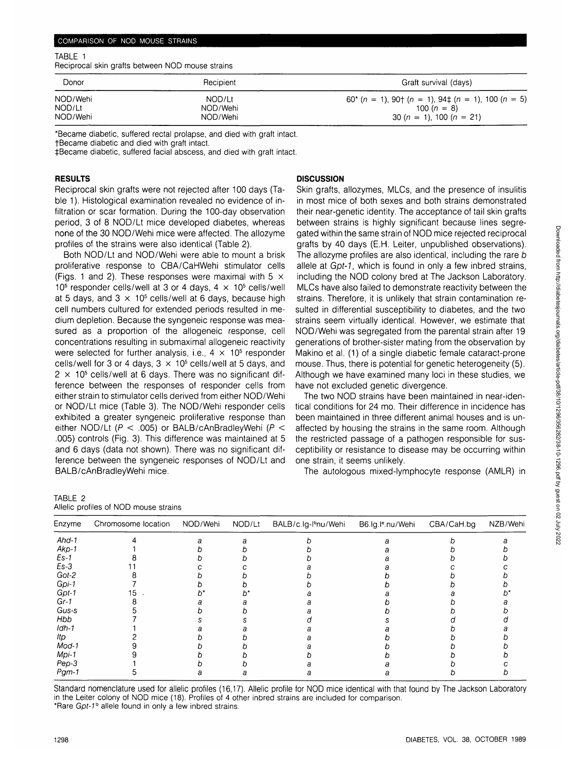#### COMPARISON OF NOD MOUSE STRAINS

#### TABLE 1

Reciprocal skin grafts between NOD mouse strains

| Donor    | Recipient | Graft survival (days)                                   |  |  |
|----------|-----------|---------------------------------------------------------|--|--|
| NOD/Wehi | NOD/Lt    | $60^{*}$ (n = 1), 90† (n = 1), 94‡ (n = 1), 100 (n = 5) |  |  |
| NOD/Lt   | NOD/Wehi  | 100 $(n = 8)$                                           |  |  |
| NOD/Wehi | NOD/Wehi  | 30 (n = 1), 100 (n = 21)                                |  |  |

\*Became diabetic, suffered rectal prolapse, and died with graft intact.

fBecame diabetic and died with graft intact.

^Became diabetic, suffered facial abscess, and died with graft intact.

## **RESULTS**

Reciprocal skin grafts were not rejected after 100 days (Table 1). Histological examination revealed no evidence of infiltration or scar formation. During the 100-day observation period, 3 of 8 NOD/Lt mice developed diabetes, whereas none of the 30 NOD/Wehi mice were affected. The allozyme profiles of the strains were also identical (Table 2).

Both NOD/Lt and NOD/Wehi were able to mount a brisk proliferative response to CBA/CaHWehi stimulator cells (Figs. 1 and 2). These responses were maximal with 5  $\times$ 10<sup>5</sup> responder cells/well at 3 or 4 days,  $4 \times 10^5$  cells/well at 5 days, and  $3 \times 10^5$  cells/well at 6 days, because high cell numbers cultured for extended periods resulted in medium depletion. Because the syngeneic response was measured as a proportion of the allogeneic response, cell concentrations resulting in submaximal allogeneic reactivity were selected for further analysis, i.e.,  $4 \times 10^5$  responder cells/well for 3 or 4 days,  $3 \times 10^5$  cells/well at 5 days, and  $2 \times 10^5$  cells/well at 6 days. There was no significant difference between the responses of responder cells from either strain to stimulator cells derived from either NOD/Wehi or NOD/Lt mice (Table 3). The NOD/Wehi responder cells exhibited a greater syngeneic proliferative response than either NOD/Lt ( $P < .005$ ) or BALB/cAnBradleyWehi ( $P <$ .005) controls (Fig. 3). This difference was maintained at 5 and 6 days (data not shown). There was no significant difference between the syngeneic responses of NOD/Lt and BALB/cAnBradleyWehi mice.

### **DISCUSSION**

Skin grafts, allozymes, MLCs, and the presence of insulitis in most mice of both sexes and both strains demonstrated their near-genetic identity. The acceptance of tail skin grafts between strains is highly significant because lines segregated within the same strain of NOD mice rejected reciprocal grafts by 40 days (E.H. Leiter, unpublished observations). The allozyme profiles are also identical, including the rare b allele at Gpt-1, which is found in only a few inbred strains, including the NOD colony bred at The Jackson Laboratory. MLCs have also failed to demonstrate reactivity between the strains. Therefore, it is unlikely that strain contamination resulted in differential susceptibility to diabetes, and the two strains seem virtually identical. However, we estimate that NOD/Wehi was segregated from the parental strain after 19 generations of brother-sister mating from the observation by Makino et al. (1) of a single diabetic female cataract-prone mouse. Thus, there is potential for genetic heterogeneity (5). Although we have examined many loci in these studies, we have not excluded genetic divergence.

The two NOD strains have been maintained in near-identical conditions for 24 mo. Their difference in incidence has been maintained in three different animal houses and is unaffected by housing the strains in the same room. Although the restricted passage of a pathogen responsible for susceptibility or resistance to disease may be occurring within one strain, it seems unlikely.

The autologous mixed-lymphocyte response (AMLR) in

| TABLE 2 |                                       |  |  |
|---------|---------------------------------------|--|--|
|         | Allelic profiles of NOD mouse strains |  |  |

| Enzyme   | Chromosome location | NOD/Wehi | NOD/Lt | BALB/c.lg-l <sup>b</sup> nu/Wehi | B6.Ig.I <sup>e</sup> .nu/Wehi | CBA/CaH.bg | NZB/Wehi |
|----------|---------------------|----------|--------|----------------------------------|-------------------------------|------------|----------|
| $And-1$  |                     |          |        |                                  |                               |            |          |
| $Akp-1$  |                     |          |        |                                  |                               |            |          |
| $Es-1$   |                     |          |        |                                  |                               |            |          |
| $Es-3$   |                     |          |        |                                  |                               |            |          |
| Got-2    |                     |          |        |                                  |                               |            |          |
| Gpi-1    |                     |          |        |                                  |                               |            |          |
| $Gpt-1$  |                     |          |        |                                  |                               |            |          |
| $Gr-1$   |                     |          |        |                                  |                               |            |          |
| Gus-s    |                     |          |        |                                  |                               |            |          |
| Hbb      |                     |          |        |                                  |                               |            |          |
| $Idh-1$  |                     |          |        |                                  |                               |            |          |
| ltp      |                     |          |        |                                  |                               |            |          |
| $Mod-1$  |                     |          |        |                                  |                               |            |          |
| Mpi-1    |                     |          |        |                                  |                               |            |          |
| Pep-3    |                     |          |        |                                  |                               |            |          |
| $P$ gm-1 |                     |          |        |                                  |                               |            |          |

Standard nomenclature used for allelic profiles (16,17). Allelic profile for NOD mice identical with that found by The Jackson Laboratory in the Leiter colony of NOD mice (18). Profiles of 4 other inbred strains are included for comparison. \*Rare Gpt-1<sup>b</sup> allele found in only a few inbred strains.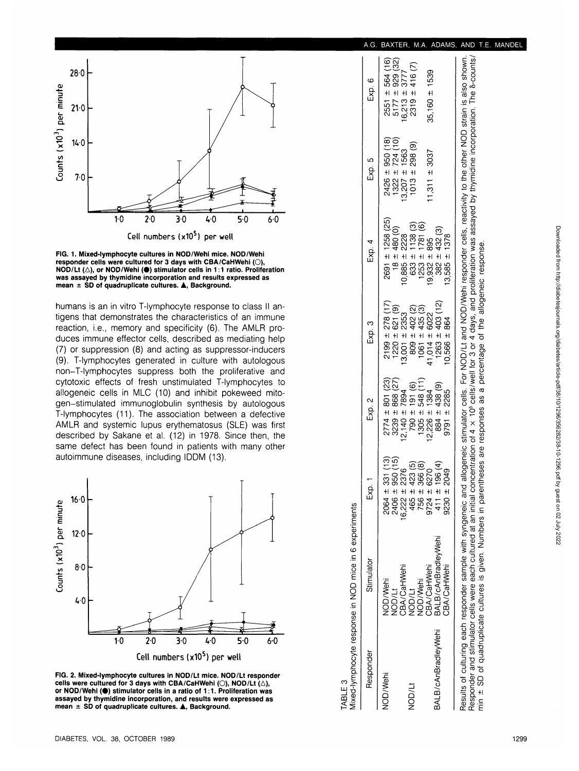



humans is an in vitro T-lymphocyte response to class II antigens that demonstrates the characteristics of an immune reaction, i.e., memory and specificity (6). The AMLR produces immune effector cells, described as mediating help (7 ) o r suppressio n (8 ) an d actin g a s suppressor-inducer s (9) . T-lymphocyte s generate d i n cultur e wit h autologou s non-T-lymphocyte s suppres s bot h th e proliferativ e an d cytotoxic effects of fresh unstimulated T-lymphocytes to allogeneic cells in MLC (10) and inhibit pokeweed mitogen-stimulate d immunoglobuli n synthesi s b y autologou s T-lymphocytes (11). The association between a defective AMLR and systemic lupus erythematosus (SLE) was first described by Sakane et al. (12) in 1978. Since then, the same defect has been found in patients with many other autoimmun e diseases , includin g IDD M (13) .





| DIABETES, VOL. 38, OCTOBER 1989 |  |  |
|---------------------------------|--|--|

| A.         |                                            |                                                                      |                                                         |                                                                                                                                                                                                                                                                                                                                                                                                                                                                                                                             | MANDE |
|------------|--------------------------------------------|----------------------------------------------------------------------|---------------------------------------------------------|-----------------------------------------------------------------------------------------------------------------------------------------------------------------------------------------------------------------------------------------------------------------------------------------------------------------------------------------------------------------------------------------------------------------------------------------------------------------------------------------------------------------------------|-------|
| Exp. 6     | $2551 \pm 564(16)$<br>$5177 \pm 929$ (32)  | $2319 \pm 416$ (7)<br>$6,213 \pm 3777$                               | $35,160 \pm 1539$                                       |                                                                                                                                                                                                                                                                                                                                                                                                                                                                                                                             |       |
| Exp. 5     | $1322 \pm 724$ (10)<br>$2426 \pm 950(18)$  | $(6)$ 862 $\pm$ 2013<br>$3,207 + 1563$                               | $1,311 \pm 3037$                                        |                                                                                                                                                                                                                                                                                                                                                                                                                                                                                                                             |       |
| Exp. 4     | $2691 \pm 1258$ (25)<br>$18 \pm 480$ (0)   | $633 \pm 1138$ (3)<br>$253 \pm 1781$ (6)<br>$0.885 = 2228$           | $382 \pm 432$ (3)<br>$3.585 \pm 1378$<br>$9.932 + 895$  |                                                                                                                                                                                                                                                                                                                                                                                                                                                                                                                             |       |
| Exp. 3     | $2199 \pm 278$ (17)<br>$(220 \pm 621)$     | $1061 \pm 435$ (3)<br>$809 \pm 402$ (2)<br>$3,001 = 2353$            | $1263 \pm 403$ (12)<br>$1,014 = 6022$<br>$0.566 = 864$  |                                                                                                                                                                                                                                                                                                                                                                                                                                                                                                                             |       |
| Exp. 2     | $2774 \pm 801$ (23)<br>$3239 \pm 868$ (27) | $1305 \pm 548$ (11)<br>$790 \pm 191$ (6)<br>$2.140 = 7894$           | 438 (9)<br>$2,226 \pm 1384$<br>$9791 \pm 2285$<br>884 ± |                                                                                                                                                                                                                                                                                                                                                                                                                                                                                                                             |       |
| Exp. 1     | (15)<br>$2406 \pm 950$<br>$2064 \pm 331$   | $\mathfrak{G}$<br>$6,222 \pm 2376$<br>$465 \pm 423$<br>$756 \pm 366$ | $9724 \pm 6270$<br>411 ± 196 (4)<br>$9230 \pm 2049$     |                                                                                                                                                                                                                                                                                                                                                                                                                                                                                                                             |       |
| Stimulator | NOD/Wehi<br><b>NOD/Lt</b>                  | CBA/CaHWehi<br><b>VOD/Wehi</b><br>NOD/Lt                             | BALB/cAnBradleyWehi<br>CBA/CaHWehi<br>CBA/CaHWehi       | Responder and stimulator cells were each cultured at an initial concentration of 4 x 10° cells/well for 3 or 4 days, and proliferation was assayed by thymidine incorporation. The 8-counts<br>Results of culturing each responder sample with syngeneic allogeneic stimulator cells. For NOD/Lt and NOD/Lt and NOD/Wehi responder cells, reactivity to the other NOD strain is also shown<br>min ± SD of quadruplicate cultures is given. Numbers in parentheses are responses as a percentage of the allogeneic response. |       |
| Responder  | NOD/Wehi                                   | NOD/Lt                                                               | BALB/cAnBradleyWehi                                     |                                                                                                                                                                                                                                                                                                                                                                                                                                                                                                                             |       |

TABLE<sub>3</sub>

experiments

n NOD mice in 6

**C**<br> **C**<br> **C**<br> **C**<br> **C**<br> **C**<br> **C**<br> **C** 

ed-lymphocyte